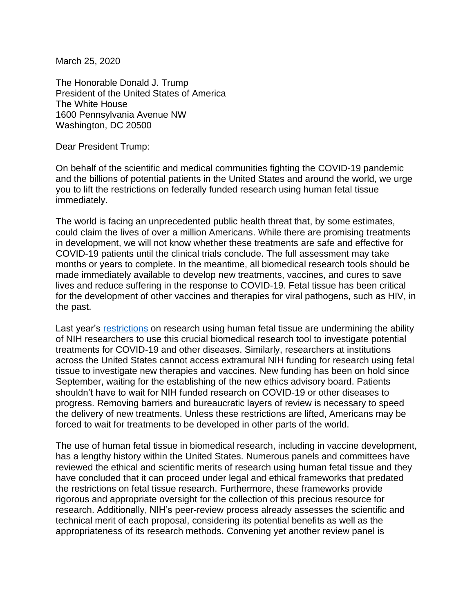March 25, 2020

The Honorable Donald J. Trump President of the United States of America The White House 1600 Pennsylvania Avenue NW Washington, DC 20500

Dear President Trump:

On behalf of the scientific and medical communities fighting the COVID-19 pandemic and the billions of potential patients in the United States and around the world, we urge you to lift the restrictions on federally funded research using human fetal tissue immediately.

The world is facing an unprecedented public health threat that, by some estimates, could claim the lives of over a million Americans. While there are promising treatments in development, we will not know whether these treatments are safe and effective for COVID-19 patients until the clinical trials conclude. The full assessment may take months or years to complete. In the meantime, all biomedical research tools should be made immediately available to develop new treatments, vaccines, and cures to save lives and reduce suffering in the response to COVID-19. Fetal tissue has been critical for the development of other vaccines and therapies for viral pathogens, such as HIV, in the past.

Last year's [restrictions](https://www.hhs.gov/about/news/2019/06/05/statement-from-the-department-of-health-and-human-services.html) on research using human fetal tissue are undermining the ability of NIH researchers to use this crucial biomedical research tool to investigate potential treatments for COVID-19 and other diseases. Similarly, researchers at institutions across the United States cannot access extramural NIH funding for research using fetal tissue to investigate new therapies and vaccines. New funding has been on hold since September, waiting for the establishing of the new ethics advisory board. Patients shouldn't have to wait for NIH funded research on COVID-19 or other diseases to progress. Removing barriers and bureaucratic layers of review is necessary to speed the delivery of new treatments. Unless these restrictions are lifted, Americans may be forced to wait for treatments to be developed in other parts of the world.

The use of human fetal tissue in biomedical research, including in vaccine development, has a lengthy history within the United States. Numerous panels and committees have reviewed the ethical and scientific merits of research using human fetal tissue and they have concluded that it can proceed under legal and ethical frameworks that predated the restrictions on fetal tissue research. Furthermore, these frameworks provide rigorous and appropriate oversight for the collection of this precious resource for research. Additionally, NIH's peer-review process already assesses the scientific and technical merit of each proposal, considering its potential benefits as well as the appropriateness of its research methods. Convening yet another review panel is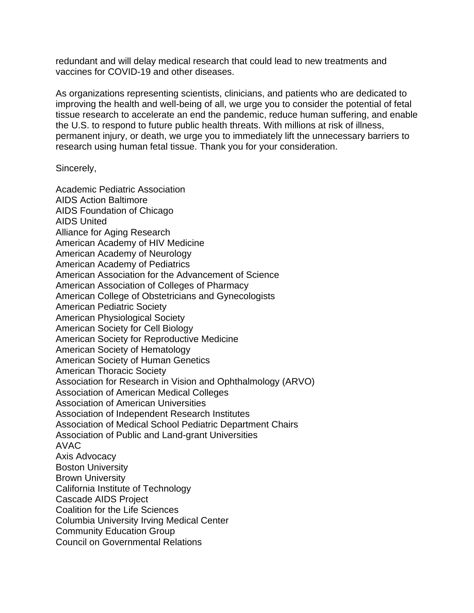redundant and will delay medical research that could lead to new treatments and vaccines for COVID-19 and other diseases.

As organizations representing scientists, clinicians, and patients who are dedicated to improving the health and well-being of all, we urge you to consider the potential of fetal tissue research to accelerate an end the pandemic, reduce human suffering, and enable the U.S. to respond to future public health threats. With millions at risk of illness, permanent injury, or death, we urge you to immediately lift the unnecessary barriers to research using human fetal tissue. Thank you for your consideration.

Sincerely,

Academic Pediatric Association AIDS Action Baltimore AIDS Foundation of Chicago AIDS United Alliance for Aging Research American Academy of HIV Medicine American Academy of Neurology American Academy of Pediatrics American Association for the Advancement of Science American Association of Colleges of Pharmacy American College of Obstetricians and Gynecologists American Pediatric Society American Physiological Society American Society for Cell Biology American Society for Reproductive Medicine American Society of Hematology American Society of Human Genetics American Thoracic Society Association for Research in Vision and Ophthalmology (ARVO) Association of American Medical Colleges Association of American Universities Association of Independent Research Institutes Association of Medical School Pediatric Department Chairs Association of Public and Land-grant Universities AVAC Axis Advocacy Boston University Brown University California Institute of Technology Cascade AIDS Project Coalition for the Life Sciences Columbia University Irving Medical Center Community Education Group Council on Governmental Relations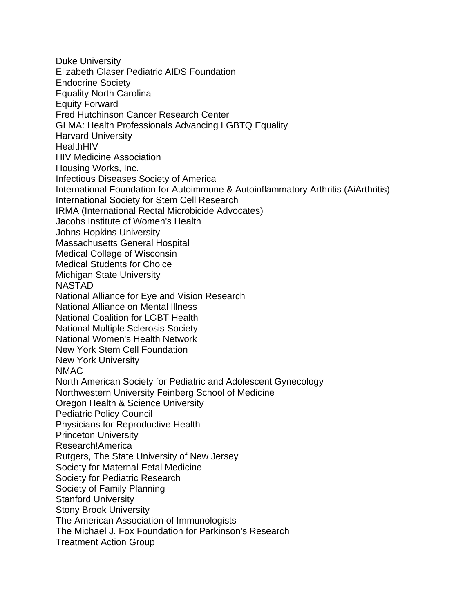Duke University Elizabeth Glaser Pediatric AIDS Foundation Endocrine Society Equality North Carolina Equity Forward Fred Hutchinson Cancer Research Center GLMA: Health Professionals Advancing LGBTQ Equality Harvard University HealthHIV HIV Medicine Association Housing Works, Inc. Infectious Diseases Society of America International Foundation for Autoimmune & Autoinflammatory Arthritis (AiArthritis) International Society for Stem Cell Research IRMA (International Rectal Microbicide Advocates) Jacobs Institute of Women's Health Johns Hopkins University Massachusetts General Hospital Medical College of Wisconsin Medical Students for Choice Michigan State University NASTAD National Alliance for Eye and Vision Research National Alliance on Mental Illness National Coalition for LGBT Health National Multiple Sclerosis Society National Women's Health Network New York Stem Cell Foundation New York University NMAC North American Society for Pediatric and Adolescent Gynecology Northwestern University Feinberg School of Medicine Oregon Health & Science University Pediatric Policy Council Physicians for Reproductive Health Princeton University Research!America Rutgers, The State University of New Jersey Society for Maternal-Fetal Medicine Society for Pediatric Research Society of Family Planning Stanford University Stony Brook University The American Association of Immunologists The Michael J. Fox Foundation for Parkinson's Research Treatment Action Group